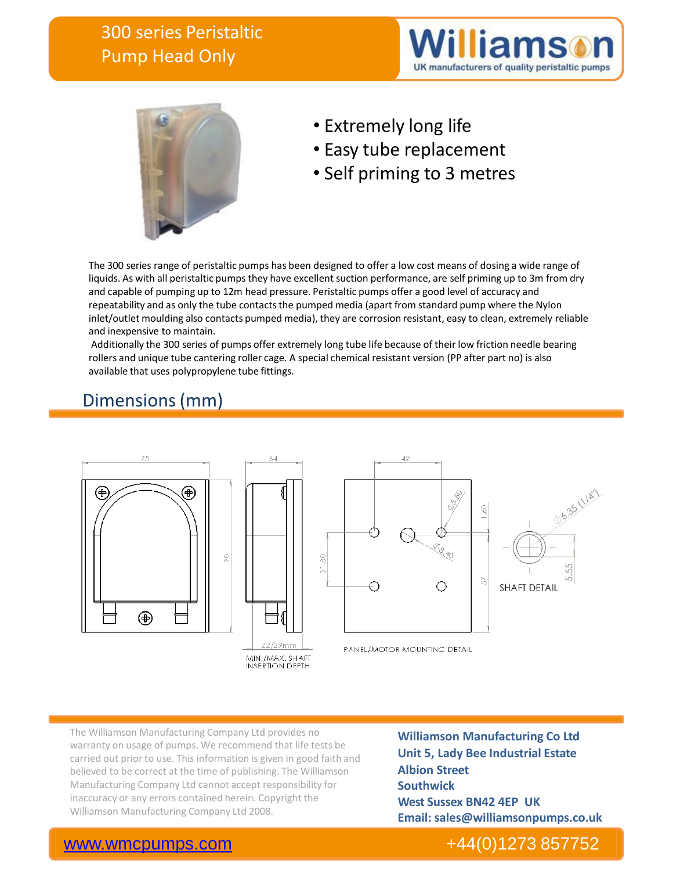# 300 series Peristaltic Pump Head Only





- Extremely long life
- Easy tube replacement
- Self priming to 3 metres

The 300 series range of peristaltic pumps has been designed to offer a low cost means of dosing a wide range of liquids. As with all peristaltic pumps they have excellent suction performance, are self priming up to 3m from dry and capable of pumping up to 12m head pressure. Peristaltic pumps offer a good level of accuracy and repeatability and as only the tube contacts the pumped media (apart from standard pump where the Nylon inlet/outlet moulding also contacts pumped media), they are corrosion resistant, easy to clean, extremely reliable and inexpensive to maintain.

Additionally the 300 series of pumps offer extremely long tube life because of their low friction needle bearing rollers and unique tube cantering roller cage. A special chemical resistant version (PP after part no) is also available that uses polypropylene tube fittings.

# Dimensions(mm)



The Williamson Manufacturing Company Ltd provides no warranty on usage of pumps. We recommend that life tests be carried out prior to use. This information is given in good faith and believed to be correct at the time of publishing. The Williamson Manufacturing Company Ltd cannot accept responsibility for inaccuracy or any errors contained herein. Copyright the Williamson Manufacturing Company Ltd 2008.

**Williamson Manufacturing Co Ltd Unit 5, Lady Bee Industrial Estate Albion Street Southwick West Sussex BN42 4EP UK Email: sales@williamsonpumps.co.uk**

## [www.wmcpumps.com](http://www.wmcpumps.com/) +44(0)1273 857752